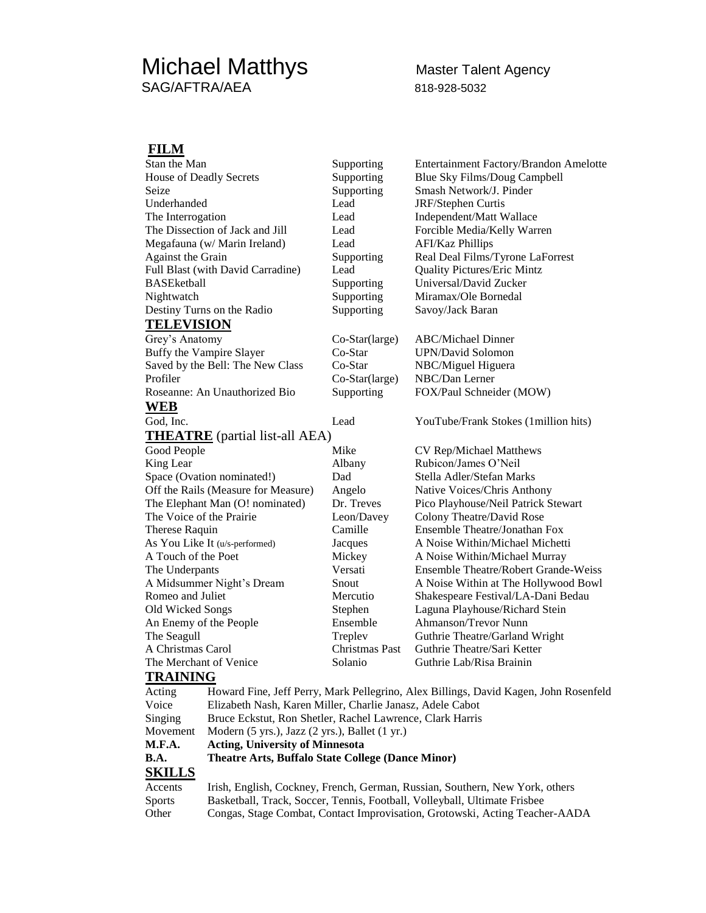## Michael Matthys Master Talent Agency SAG/AFTRA/AEA 818-928-5032

## **FILM**

| Stan the Man                        |                                                                                                                        | Supporting     | Entertainment Factory/Brandon Amelotte                                               |
|-------------------------------------|------------------------------------------------------------------------------------------------------------------------|----------------|--------------------------------------------------------------------------------------|
| House of Deadly Secrets             |                                                                                                                        | Supporting     | Blue Sky Films/Doug Campbell                                                         |
| Seize                               |                                                                                                                        | Supporting     | Smash Network/J. Pinder                                                              |
| Underhanded                         |                                                                                                                        | Lead           | <b>JRF</b> /Stephen Curtis                                                           |
| The Interrogation                   |                                                                                                                        | Lead           | Independent/Matt Wallace                                                             |
| The Dissection of Jack and Jill     |                                                                                                                        | Lead           | Forcible Media/Kelly Warren                                                          |
| Megafauna (w/ Marin Ireland)        |                                                                                                                        | Lead           | <b>AFI/Kaz Phillips</b>                                                              |
| Against the Grain                   |                                                                                                                        | Supporting     | Real Deal Films/Tyrone LaForrest                                                     |
| Full Blast (with David Carradine)   |                                                                                                                        | Lead           | <b>Quality Pictures/Eric Mintz</b>                                                   |
| <b>BASEketball</b>                  |                                                                                                                        | Supporting     | Universal/David Zucker                                                               |
| Nightwatch                          |                                                                                                                        | Supporting     | Miramax/Ole Bornedal                                                                 |
| Destiny Turns on the Radio          |                                                                                                                        | Supporting     | Savoy/Jack Baran                                                                     |
| <b>TELEVISION</b>                   |                                                                                                                        |                |                                                                                      |
| Grey's Anatomy                      |                                                                                                                        | Co-Star(large) | <b>ABC/Michael Dinner</b>                                                            |
| Buffy the Vampire Slayer            |                                                                                                                        | Co-Star        | <b>UPN/David Solomon</b>                                                             |
| Saved by the Bell: The New Class    |                                                                                                                        | Co-Star        | NBC/Miguel Higuera                                                                   |
| Profiler                            |                                                                                                                        | Co-Star(large) | NBC/Dan Lerner                                                                       |
| Roseanne: An Unauthorized Bio       |                                                                                                                        | Supporting     | FOX/Paul Schneider (MOW)                                                             |
| <b>WEB</b>                          |                                                                                                                        |                |                                                                                      |
| God, Inc.                           |                                                                                                                        | Lead           | YouTube/Frank Stokes (1million hits)                                                 |
|                                     | <b>THEATRE</b> (partial list-all AEA)                                                                                  |                |                                                                                      |
| Good People                         |                                                                                                                        | Mike           | CV Rep/Michael Matthews                                                              |
| King Lear                           |                                                                                                                        | Albany         | Rubicon/James O'Neil                                                                 |
| Space (Ovation nominated!)          |                                                                                                                        | Dad            | Stella Adler/Stefan Marks                                                            |
| Off the Rails (Measure for Measure) |                                                                                                                        | Angelo         | Native Voices/Chris Anthony                                                          |
| The Elephant Man (O! nominated)     |                                                                                                                        | Dr. Treves     | Pico Playhouse/Neil Patrick Stewart                                                  |
| The Voice of the Prairie            |                                                                                                                        | Leon/Davey     | Colony Theatre/David Rose                                                            |
| Therese Raquin                      |                                                                                                                        | Camille        | Ensemble Theatre/Jonathan Fox                                                        |
| As You Like It (u/s-performed)      |                                                                                                                        | Jacques        | A Noise Within/Michael Michetti                                                      |
| A Touch of the Poet                 |                                                                                                                        | Mickey         | A Noise Within/Michael Murray                                                        |
| The Underpants                      |                                                                                                                        | Versati        | Ensemble Theatre/Robert Grande-Weiss                                                 |
| A Midsummer Night's Dream           |                                                                                                                        | Snout          | A Noise Within at The Hollywood Bowl                                                 |
| Romeo and Juliet                    |                                                                                                                        | Mercutio       | Shakespeare Festival/LA-Dani Bedau                                                   |
| Old Wicked Songs                    |                                                                                                                        | Stephen        | Laguna Playhouse/Richard Stein                                                       |
| An Enemy of the People              |                                                                                                                        | Ensemble       | Ahmanson/Trevor Nunn                                                                 |
| The Seagull                         |                                                                                                                        | Treplev        | Guthrie Theatre/Garland Wright                                                       |
| A Christmas Carol                   |                                                                                                                        | Christmas Past | Guthrie Theatre/Sari Ketter                                                          |
| The Merchant of Venice              |                                                                                                                        | Solanio        | Guthrie Lab/Risa Brainin                                                             |
| <b>TRAINING</b>                     |                                                                                                                        |                |                                                                                      |
|                                     |                                                                                                                        |                |                                                                                      |
| Acting<br>Voice                     |                                                                                                                        |                | Howard Fine, Jeff Perry, Mark Pellegrino, Alex Billings, David Kagen, John Rosenfeld |
|                                     | Elizabeth Nash, Karen Miller, Charlie Janasz, Adele Cabot<br>Bruce Eckstut, Ron Shetler, Rachel Lawrence, Clark Harris |                |                                                                                      |
| Singing                             |                                                                                                                        |                |                                                                                      |
| Movement                            | Modern (5 yrs.), Jazz (2 yrs.), Ballet (1 yr.)<br><b>Acting, University of Minnesota</b>                               |                |                                                                                      |
| M.F.A.                              | Theatre Arts, Buffalo State College (Dance Minor)                                                                      |                |                                                                                      |
| <b>B.A.</b>                         |                                                                                                                        |                |                                                                                      |
| <b>SKILLS</b>                       |                                                                                                                        |                |                                                                                      |
| Accents                             | Irish, English, Cockney, French, German, Russian, Southern, New York, others                                           |                |                                                                                      |
| <b>Sports</b>                       | Basketball, Track, Soccer, Tennis, Football, Volleyball, Ultimate Frisbee                                              |                |                                                                                      |
| Other                               | Congas, Stage Combat, Contact Improvisation, Grotowski, Acting Teacher-AADA                                            |                |                                                                                      |